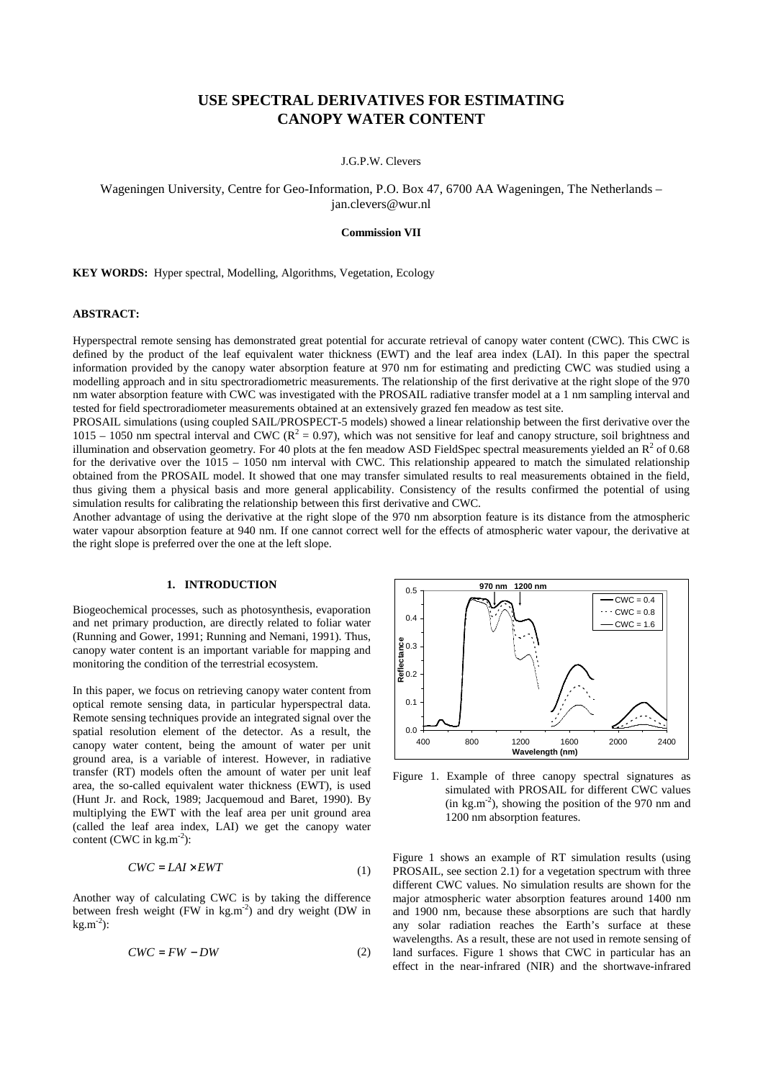# **USE SPECTRAL DERIVATIVES FOR ESTIMATING CANOPY WATER CONTENT**

## J.G.P.W. Clevers

Wageningen University, Centre for Geo-Information, P.O. Box 47, 6700 AA Wageningen, The Netherlands – jan.clevers@wur.nl

### **Commission VII**

**KEY WORDS:** Hyper spectral, Modelling, Algorithms, Vegetation, Ecology

# **ABSTRACT:**

Hyperspectral remote sensing has demonstrated great potential for accurate retrieval of canopy water content (CWC). This CWC is defined by the product of the leaf equivalent water thickness (EWT) and the leaf area index (LAI). In this paper the spectral information provided by the canopy water absorption feature at 970 nm for estimating and predicting CWC was studied using a modelling approach and in situ spectroradiometric measurements. The relationship of the first derivative at the right slope of the 970 nm water absorption feature with CWC was investigated with the PROSAIL radiative transfer model at a 1 nm sampling interval and tested for field spectroradiometer measurements obtained at an extensively grazed fen meadow as test site.

PROSAIL simulations (using coupled SAIL/PROSPECT-5 models) showed a linear relationship between the first derivative over the 1015 – 1050 nm spectral interval and CWC ( $R^2 = 0.97$ ), which was not sensitive for leaf and canopy structure, soil brightness and illumination and observation geometry. For 40 plots at the fen meadow ASD FieldSpec spectral measurements yielded an  $R^2$  of 0.68 for the derivative over the 1015 – 1050 nm interval with CWC. This relationship appeared to match the simulated relationship obtained from the PROSAIL model. It showed that one may transfer simulated results to real measurements obtained in the field, thus giving them a physical basis and more general applicability. Consistency of the results confirmed the potential of using simulation results for calibrating the relationship between this first derivative and CWC.

Another advantage of using the derivative at the right slope of the 970 nm absorption feature is its distance from the atmospheric water vapour absorption feature at 940 nm. If one cannot correct well for the effects of atmospheric water vapour, the derivative at the right slope is preferred over the one at the left slope.

# **1. INTRODUCTION**

Biogeochemical processes, such as photosynthesis, evaporation and net primary production, are directly related to foliar water (Running and Gower, 1991; Running and Nemani, 1991). Thus, canopy water content is an important variable for mapping and monitoring the condition of the terrestrial ecosystem.

In this paper, we focus on retrieving canopy water content from optical remote sensing data, in particular hyperspectral data. Remote sensing techniques provide an integrated signal over the spatial resolution element of the detector. As a result, the canopy water content, being the amount of water per unit ground area, is a variable of interest. However, in radiative transfer (RT) models often the amount of water per unit leaf area, the so-called equivalent water thickness (EWT), is used (Hunt Jr. and Rock, 1989; Jacquemoud and Baret, 1990). By multiplying the EWT with the leaf area per unit ground area (called the leaf area index, LAI) we get the canopy water content (CWC in  $kg.m^{-2}$ ):

$$
CWC = LAI \times EWT
$$
 (1)

Another way of calculating CWC is by taking the difference between fresh weight (FW in kg.m<sup>-2</sup>) and dry weight (DW in  $kg.m^{-2}$ :

$$
CWC = FW - DW \tag{2}
$$



Figure 1. Example of three canopy spectral signatures as simulated with PROSAIL for different CWC values  $(in \ kg.m^{-2})$ , showing the position of the 970 nm and 1200 nm absorption features.

Figure 1 shows an example of RT simulation results (using PROSAIL, see section 2.1) for a vegetation spectrum with three different CWC values. No simulation results are shown for the major atmospheric water absorption features around 1400 nm and 1900 nm, because these absorptions are such that hardly any solar radiation reaches the Earth's surface at these wavelengths. As a result, these are not used in remote sensing of land surfaces. Figure 1 shows that CWC in particular has an effect in the near-infrared (NIR) and the shortwave-infrared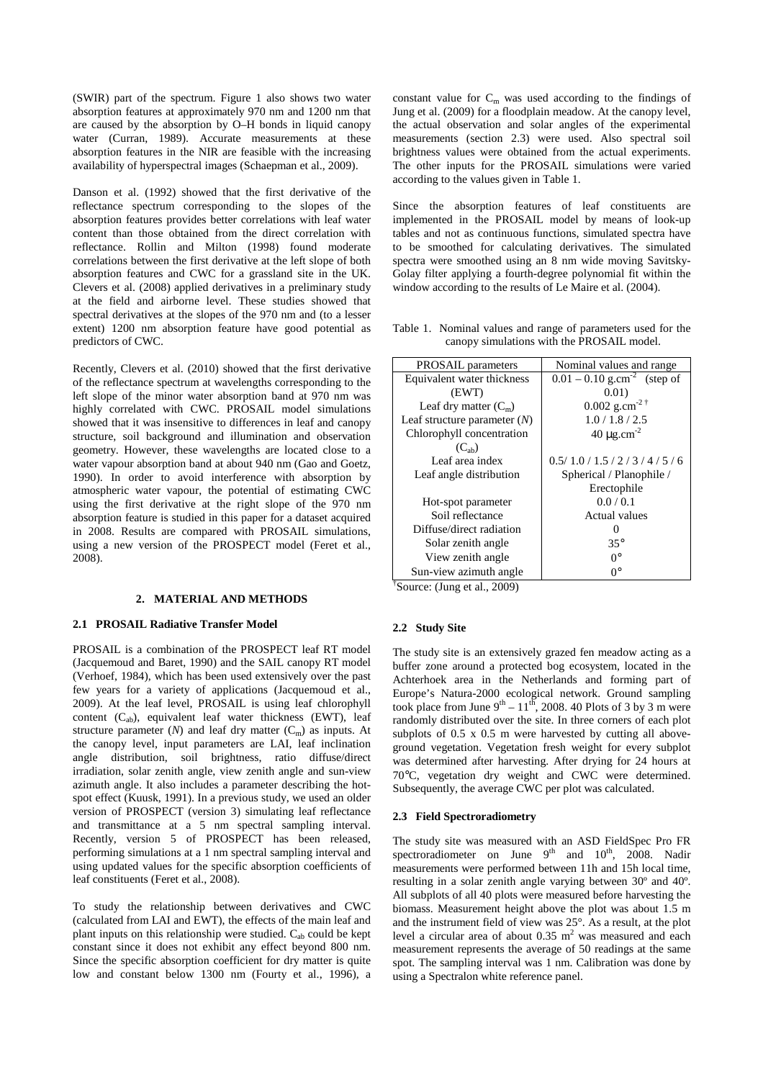(SWIR) part of the spectrum. Figure 1 also shows two water absorption features at approximately 970 nm and 1200 nm that are caused by the absorption by O–H bonds in liquid canopy water (Curran, 1989). Accurate measurements at these absorption features in the NIR are feasible with the increasing availability of hyperspectral images (Schaepman et al., 2009).

Danson et al. (1992) showed that the first derivative of the reflectance spectrum corresponding to the slopes of the absorption features provides better correlations with leaf water content than those obtained from the direct correlation with reflectance. Rollin and Milton (1998) found moderate correlations between the first derivative at the left slope of both absorption features and CWC for a grassland site in the UK. Clevers et al. (2008) applied derivatives in a preliminary study at the field and airborne level. These studies showed that spectral derivatives at the slopes of the 970 nm and (to a lesser extent) 1200 nm absorption feature have good potential as predictors of CWC.

Recently, Clevers et al. (2010) showed that the first derivative of the reflectance spectrum at wavelengths corresponding to the left slope of the minor water absorption band at 970 nm was highly correlated with CWC. PROSAIL model simulations showed that it was insensitive to differences in leaf and canopy structure, soil background and illumination and observation geometry. However, these wavelengths are located close to a water vapour absorption band at about 940 nm (Gao and Goetz, 1990). In order to avoid interference with absorption by atmospheric water vapour, the potential of estimating CWC using the first derivative at the right slope of the 970 nm absorption feature is studied in this paper for a dataset acquired in 2008. Results are compared with PROSAIL simulations, using a new version of the PROSPECT model (Feret et al., 2008).

# **2. MATERIAL AND METHODS**

# **2.1 PROSAIL Radiative Transfer Model**

PROSAIL is a combination of the PROSPECT leaf RT model (Jacquemoud and Baret, 1990) and the SAIL canopy RT model (Verhoef, 1984), which has been used extensively over the past few years for a variety of applications (Jacquemoud et al., 2009). At the leaf level, PROSAIL is using leaf chlorophyll content  $(C_{ab})$ , equivalent leaf water thickness (EWT), leaf structure parameter  $(N)$  and leaf dry matter  $(C_m)$  as inputs. At the canopy level, input parameters are LAI, leaf inclination angle distribution, soil brightness, ratio diffuse/direct irradiation, solar zenith angle, view zenith angle and sun-view azimuth angle. It also includes a parameter describing the hotspot effect (Kuusk, 1991). In a previous study, we used an older version of PROSPECT (version 3) simulating leaf reflectance and transmittance at a 5 nm spectral sampling interval. Recently, version 5 of PROSPECT has been released, performing simulations at a 1 nm spectral sampling interval and using updated values for the specific absorption coefficients of leaf constituents (Feret et al., 2008).

To study the relationship between derivatives and CWC (calculated from LAI and EWT), the effects of the main leaf and plant inputs on this relationship were studied.  $C_{ab}$  could be kept constant since it does not exhibit any effect beyond 800 nm. Since the specific absorption coefficient for dry matter is quite low and constant below 1300 nm (Fourty et al., 1996), a constant value for  $C_m$  was used according to the findings of Jung et al. (2009) for a floodplain meadow. At the canopy level, the actual observation and solar angles of the experimental measurements (section 2.3) were used. Also spectral soil brightness values were obtained from the actual experiments. The other inputs for the PROSAIL simulations were varied according to the values given in Table 1.

Since the absorption features of leaf constituents are implemented in the PROSAIL model by means of look-up tables and not as continuous functions, simulated spectra have to be smoothed for calculating derivatives. The simulated spectra were smoothed using an 8 nm wide moving Savitsky-Golay filter applying a fourth-degree polynomial fit within the window according to the results of Le Maire et al. (2004).

Table 1. Nominal values and range of parameters used for the canopy simulations with the PROSAIL model.

| <b>PROSAIL</b> parameters      | Nominal values and range                      |
|--------------------------------|-----------------------------------------------|
| Equivalent water thickness     | $0.01 - 0.10$ g.cm <sup>-2</sup> (step of     |
| (EWT)                          | 0.01)                                         |
| Leaf dry matter $(C_m)$        | 0.002 g.cm <sup>-2 <math>\dagger</math></sup> |
| Leaf structure parameter $(N)$ | 1.0/1.8/2.5                                   |
| Chlorophyll concentration      | $40 \mu g.cm^{-2}$                            |
| $(C_{ab})$                     |                                               |
| Leaf area index                | 0.5/1.0/1.5/2/3/4/5/6                         |
| Leaf angle distribution        | Spherical / Planophile /                      |
|                                | Erectophile                                   |
| Hot-spot parameter             | 0.0 / 0.1                                     |
| Soil reflectance               | Actual values                                 |
| Diffuse/direct radiation       |                                               |
| Solar zenith angle             | $35^\circ$                                    |
| View zenith angle              | $0^{\circ}$                                   |
| Sun-view azimuth angle         | $0^{\circ}$                                   |
|                                |                                               |

† Source: (Jung et al., 2009)

# **2.2 Study Site**

The study site is an extensively grazed fen meadow acting as a buffer zone around a protected bog ecosystem, located in the Achterhoek area in the Netherlands and forming part of Europe's Natura-2000 ecological network. Ground sampling took place from June  $9^{th} - 11^{th}$ , 2008. 40 Plots of 3 by 3 m were randomly distributed over the site. In three corners of each plot subplots of  $0.5 \times 0.5$  m were harvested by cutting all aboveground vegetation. Vegetation fresh weight for every subplot was determined after harvesting. After drying for 24 hours at 70°C, vegetation dry weight and CWC were determined. Subsequently, the average CWC per plot was calculated.

#### **2.3 Field Spectroradiometry**

The study site was measured with an ASD FieldSpec Pro FR spectroradiometer on June  $9<sup>th</sup>$  and  $10<sup>th</sup>$ ,  $2008$ . Nadir measurements were performed between 11h and 15h local time, resulting in a solar zenith angle varying between 30º and 40º. All subplots of all 40 plots were measured before harvesting the biomass. Measurement height above the plot was about 1.5 m and the instrument field of view was 25°. As a result, at the plot level a circular area of about  $0.35 \text{ m}^2$  was measured and each measurement represents the average of 50 readings at the same spot. The sampling interval was 1 nm. Calibration was done by using a Spectralon white reference panel.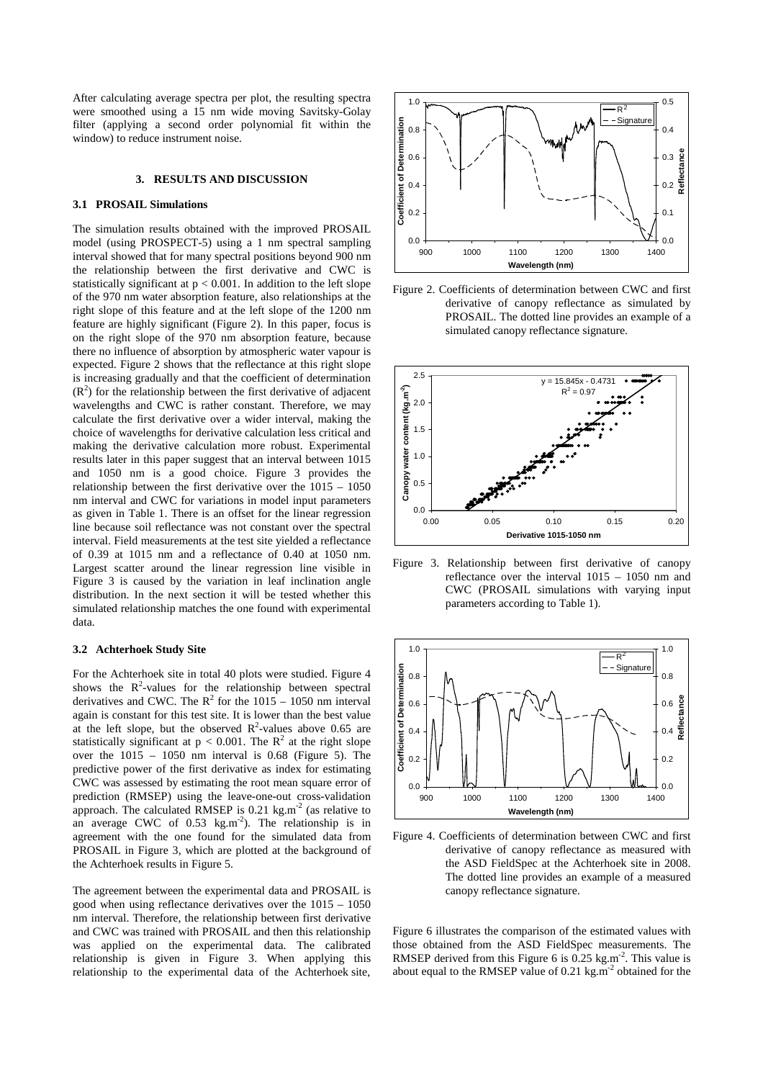After calculating average spectra per plot, the resulting spectra were smoothed using a 15 nm wide moving Savitsky-Golay filter (applying a second order polynomial fit within the window) to reduce instrument noise.

## **3. RESULTS AND DISCUSSION**

# **3.1 PROSAIL Simulations**

The simulation results obtained with the improved PROSAIL model (using PROSPECT-5) using a 1 nm spectral sampling interval showed that for many spectral positions beyond 900 nm the relationship between the first derivative and CWC is statistically significant at  $p < 0.001$ . In addition to the left slope of the 970 nm water absorption feature, also relationships at the right slope of this feature and at the left slope of the 1200 nm feature are highly significant (Figure 2). In this paper, focus is on the right slope of the 970 nm absorption feature, because there no influence of absorption by atmospheric water vapour is expected. Figure 2 shows that the reflectance at this right slope is increasing gradually and that the coefficient of determination  $(R<sup>2</sup>)$  for the relationship between the first derivative of adjacent wavelengths and CWC is rather constant. Therefore, we may calculate the first derivative over a wider interval, making the choice of wavelengths for derivative calculation less critical and making the derivative calculation more robust. Experimental results later in this paper suggest that an interval between 1015 and 1050 nm is a good choice. Figure 3 provides the relationship between the first derivative over the 1015 – 1050 nm interval and CWC for variations in model input parameters as given in Table 1. There is an offset for the linear regression line because soil reflectance was not constant over the spectral interval. Field measurements at the test site yielded a reflectance of 0.39 at 1015 nm and a reflectance of 0.40 at 1050 nm. Largest scatter around the linear regression line visible in Figure 3 is caused by the variation in leaf inclination angle distribution. In the next section it will be tested whether this simulated relationship matches the one found with experimental data.

### **3.2 Achterhoek Study Site**

For the Achterhoek site in total 40 plots were studied. Figure 4 shows the  $R^2$ -values for the relationship between spectral derivatives and CWC. The  $R^2$  for the 1015 – 1050 nm interval again is constant for this test site. It is lower than the best value at the left slope, but the observed  $\mathbb{R}^2$ -values above 0.65 are statistically significant at  $p < 0.001$ . The  $R^2$  at the right slope over the 1015 – 1050 nm interval is 0.68 (Figure 5). The predictive power of the first derivative as index for estimating CWC was assessed by estimating the root mean square error of prediction (RMSEP) using the leave-one-out cross-validation approach. The calculated RMSEP is  $0.21 \text{ kg.m}^2$  (as relative to an average CWC of  $0.53 \text{ kg.m}^{-2}$ ). The relationship is in agreement with the one found for the simulated data from PROSAIL in Figure 3, which are plotted at the background of the Achterhoek results in Figure 5.

The agreement between the experimental data and PROSAIL is good when using reflectance derivatives over the 1015 – 1050 nm interval. Therefore, the relationship between first derivative and CWC was trained with PROSAIL and then this relationship was applied on the experimental data. The calibrated relationship is given in Figure 3. When applying this relationship to the experimental data of the Achterhoek site,



Figure 2. Coefficients of determination between CWC and first derivative of canopy reflectance as simulated by PROSAIL. The dotted line provides an example of a simulated canopy reflectance signature.



Figure 3. Relationship between first derivative of canopy reflectance over the interval 1015 – 1050 nm and CWC (PROSAIL simulations with varying input parameters according to Table 1).



Figure 4. Coefficients of determination between CWC and first derivative of canopy reflectance as measured with the ASD FieldSpec at the Achterhoek site in 2008. The dotted line provides an example of a measured canopy reflectance signature.

Figure 6 illustrates the comparison of the estimated values with those obtained from the ASD FieldSpec measurements. The RMSEP derived from this Figure 6 is  $0.25 \text{ kg.m}^2$ . This value is about equal to the RMSEP value of  $0.21 \text{ kg.m}^{-2}$  obtained for the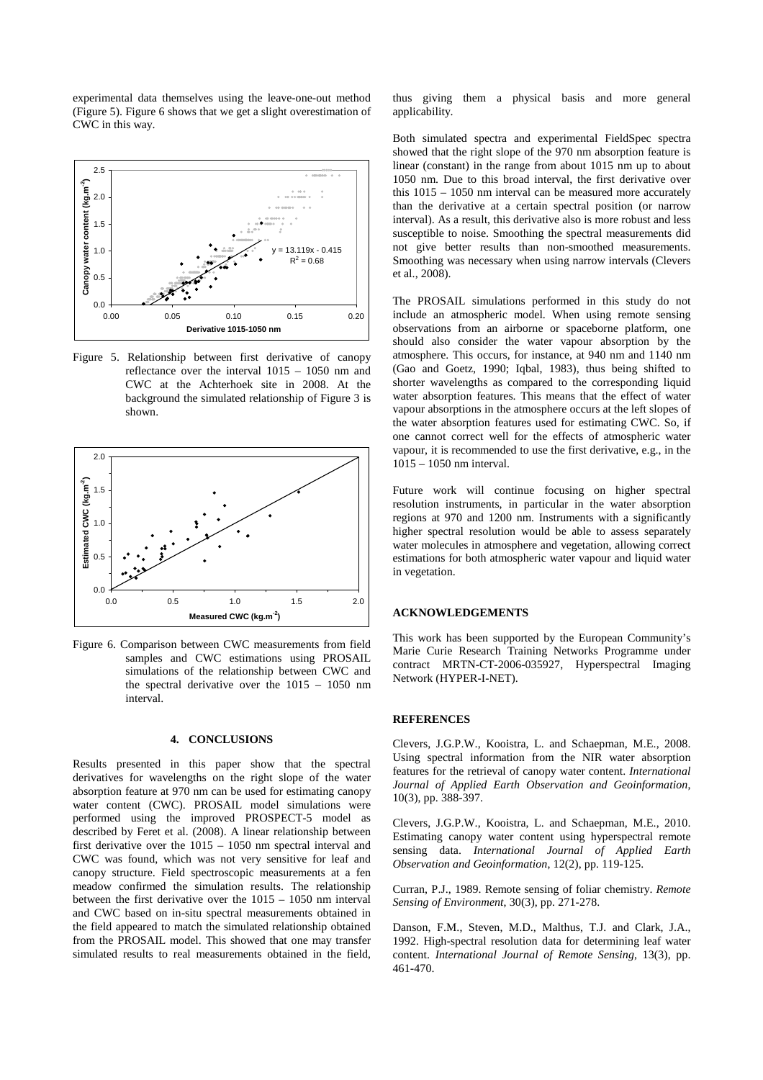experimental data themselves using the leave-one-out method (Figure 5). Figure 6 shows that we get a slight overestimation of CWC in this way.



Figure 5. Relationship between first derivative of canopy reflectance over the interval 1015 – 1050 nm and CWC at the Achterhoek site in 2008. At the background the simulated relationship of Figure 3 is shown.



Figure 6. Comparison between CWC measurements from field samples and CWC estimations using PROSAIL simulations of the relationship between CWC and the spectral derivative over the 1015 – 1050 nm interval.

# **4. CONCLUSIONS**

Results presented in this paper show that the spectral derivatives for wavelengths on the right slope of the water absorption feature at 970 nm can be used for estimating canopy water content (CWC). PROSAIL model simulations were performed using the improved PROSPECT-5 model as described by Feret et al. (2008). A linear relationship between first derivative over the 1015 – 1050 nm spectral interval and CWC was found, which was not very sensitive for leaf and canopy structure. Field spectroscopic measurements at a fen meadow confirmed the simulation results. The relationship between the first derivative over the 1015 – 1050 nm interval and CWC based on in-situ spectral measurements obtained in the field appeared to match the simulated relationship obtained from the PROSAIL model. This showed that one may transfer simulated results to real measurements obtained in the field,

thus giving them a physical basis and more general applicability.

Both simulated spectra and experimental FieldSpec spectra showed that the right slope of the 970 nm absorption feature is linear (constant) in the range from about 1015 nm up to about 1050 nm. Due to this broad interval, the first derivative over this 1015 – 1050 nm interval can be measured more accurately than the derivative at a certain spectral position (or narrow interval). As a result, this derivative also is more robust and less susceptible to noise. Smoothing the spectral measurements did not give better results than non-smoothed measurements. Smoothing was necessary when using narrow intervals (Clevers et al., 2008).

The PROSAIL simulations performed in this study do not include an atmospheric model. When using remote sensing observations from an airborne or spaceborne platform, one should also consider the water vapour absorption by the atmosphere. This occurs, for instance, at 940 nm and 1140 nm (Gao and Goetz, 1990; Iqbal, 1983), thus being shifted to shorter wavelengths as compared to the corresponding liquid water absorption features. This means that the effect of water vapour absorptions in the atmosphere occurs at the left slopes of the water absorption features used for estimating CWC. So, if one cannot correct well for the effects of atmospheric water vapour, it is recommended to use the first derivative, e.g., in the 1015 – 1050 nm interval.

Future work will continue focusing on higher spectral resolution instruments, in particular in the water absorption regions at 970 and 1200 nm. Instruments with a significantly higher spectral resolution would be able to assess separately water molecules in atmosphere and vegetation, allowing correct estimations for both atmospheric water vapour and liquid water in vegetation.

# **ACKNOWLEDGEMENTS**

This work has been supported by the European Community's Marie Curie Research Training Networks Programme under contract MRTN-CT-2006-035927, Hyperspectral Imaging Network (HYPER-I-NET).

#### **REFERENCES**

Clevers, J.G.P.W., Kooistra, L. and Schaepman, M.E., 2008. Using spectral information from the NIR water absorption features for the retrieval of canopy water content. *International Journal of Applied Earth Observation and Geoinformation*, 10(3), pp. 388-397.

Clevers, J.G.P.W., Kooistra, L. and Schaepman, M.E., 2010. Estimating canopy water content using hyperspectral remote sensing data. *International Journal of Applied Earth Observation and Geoinformation*, 12(2), pp. 119-125.

Curran, P.J., 1989. Remote sensing of foliar chemistry. *Remote Sensing of Environment*, 30(3), pp. 271-278.

Danson, F.M., Steven, M.D., Malthus, T.J. and Clark, J.A., 1992. High-spectral resolution data for determining leaf water content. *International Journal of Remote Sensing*, 13(3), pp. 461-470.